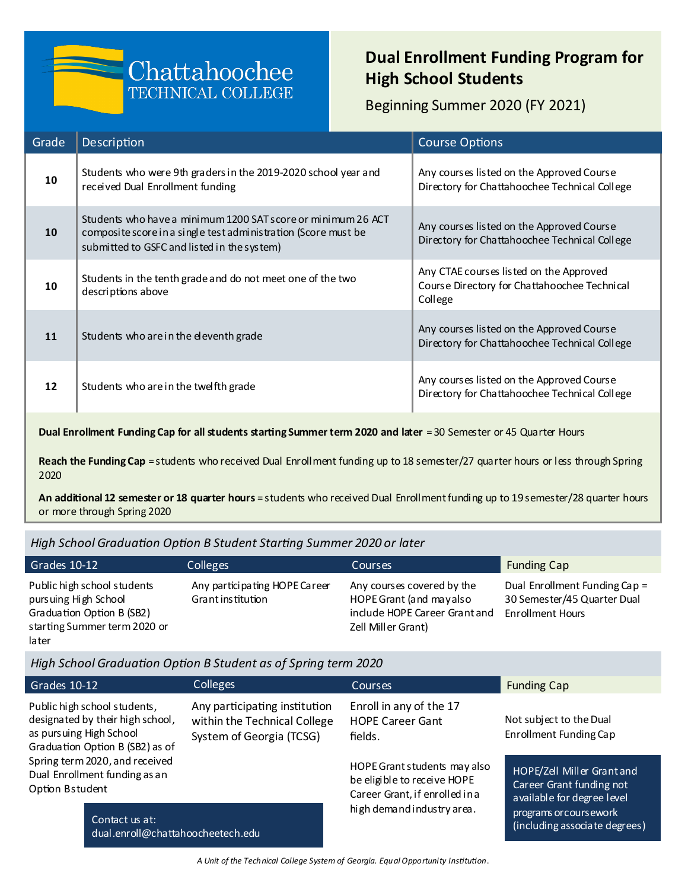# Chattahoochee **TECHNICAL COLLEGE**

## **Dual Enrollment Funding Program for High School Students**

Beginning Summer 2020 (FY 2021)

| Grade | Description                                                                                                                                                                   | <b>Course Options</b>                                                                              |
|-------|-------------------------------------------------------------------------------------------------------------------------------------------------------------------------------|----------------------------------------------------------------------------------------------------|
| 10    | Students who were 9th graders in the 2019-2020 school year and<br>received Dual Enrollment funding                                                                            | Any courses listed on the Approved Course<br>Directory for Chattahoochee Technical College         |
| 10    | Students who have a minimum 1200 SAT score or minimum 26 ACT<br>composite score in a single test administration (Score must be<br>submitted to GSFC and listed in the system) | Any courses listed on the Approved Course<br>Directory for Chattahoochee Technical College         |
| 10    | Students in the tenth grade and do not meet one of the two<br>descriptions above                                                                                              | Any CTAE courses listed on the Approved<br>Course Directory for Chattahoochee Technical<br>College |
| 11    | Students who are in the eleventh grade                                                                                                                                        | Any courses listed on the Approved Course<br>Directory for Chattahoochee Technical College         |
| 12    | Students who are in the twelfth grade                                                                                                                                         | Any courses listed on the Approved Course<br>Directory for Chattahoochee Technical College         |
|       |                                                                                                                                                                               |                                                                                                    |

**Dual Enrollment Funding Cap for all students starting Summer term 2020 and later = 30 Semester or 45 Quarter Hours** 

**Reach the Funding Cap** = students who received Dual Enrollment funding up to 18 semester/27 quarter hours or less through Spring 2020

**An additional 12 semester or 18 quarter hours** = students who received Dual Enrollment funding up to 19 semester/28 quarter hours or more through Spring 2020

*High School Graduation Option B Student Starting Summer 2020 or later*

| Grades 10-12                                                                                                              | <b>Colleges</b>                                   | <b>Courses</b>                                                                                               | <b>Funding Cap</b>                                                                      |
|---------------------------------------------------------------------------------------------------------------------------|---------------------------------------------------|--------------------------------------------------------------------------------------------------------------|-----------------------------------------------------------------------------------------|
| Public high school students<br>pursuing High School<br>Graduation Option B (SB2)<br>starting Summer term 2020 or<br>later | Any participating HOPE Career<br>Grantinstitution | Any courses covered by the<br>HOPE Grant (and mayalso<br>include HOPE Career Grant and<br>Zell Miller Grant) | Dual Enrollment Funding Cap =<br>30 Semester/45 Quarter Dual<br><b>Enrollment Hours</b> |

*High School Graduation Option B Student as of Spring term 2020*

| Grades 10-12                                                                                                                   | <b>Colleges</b>                                                                           | Courses                                                                                       | <b>Funding Cap</b>                                                                   |
|--------------------------------------------------------------------------------------------------------------------------------|-------------------------------------------------------------------------------------------|-----------------------------------------------------------------------------------------------|--------------------------------------------------------------------------------------|
| Public high school students,<br>designated by their high school,<br>as pursuing High School<br>Graduation Option B (SB2) as of | Any participating institution<br>within the Technical College<br>System of Georgia (TCSG) | Enroll in any of the 17<br><b>HOPE Career Gant</b><br>fields.                                 | Not subject to the Dual<br>Enrollment Funding Cap                                    |
| Spring term 2020, and received<br>Dual Enrollment funding as an<br>Option Bstudent                                             |                                                                                           | HOPE Grant students may also<br>be eligible to receive HOPE<br>Career Grant, if enrolled in a | HOPE/Zell Miller Grant and<br>Career Grant funding not<br>available for degree level |
| Contact us at:<br>dual.enroll@chattahoocheetech.edu                                                                            |                                                                                           | high demandindustry area.                                                                     | programs or cours ework<br>(including associate degrees)                             |

*A Unit of the Technical College System of Georgia. Equal Opportunity Institution*.